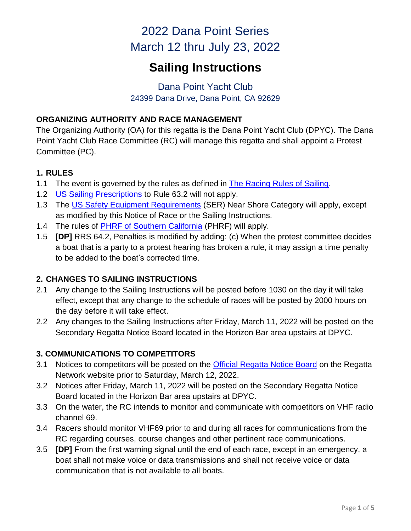# 2022 Dana Point Series March 12 thru July 23, 2022

# **Sailing Instructions**

# Dana Point Yacht Club 24399 Dana Drive, Dana Point, CA 92629

## **ORGANIZING AUTHORITY AND RACE MANAGEMENT**

The Organizing Authority (OA) for this regatta is the Dana Point Yacht Club (DPYC). The Dana Point Yacht Club Race Committee (RC) will manage this regatta and shall appoint a Protest Committee (PC).

# **1. RULES**

- 1.1 The event is governed by the rules as defined in [The Racing Rules of Sailing.](https://www.sailing.org/documents/index.php)
- 1.2 [US Sailing Prescriptions](https://cdn.ussailing.org/wp-content/uploads/2018/01/2021-2024-US-Prescriptions-Final.pdf) to Rule 63.2 will not apply.
- 1.3 The [US Safety Equipment Requirements](https://www.ussailing.org/competition/offshore/safety-information/ser-world-sailing-special-regulations/) (SER) Near Shore Category will apply, except as modified by this Notice of Race or the Sailing Instructions.
- 1.4 The rules of **PHRF** of Southern California (PHRF) will apply.
- 1.5 **[DP]** RRS 64.2, Penalties is modified by adding: (c) When the protest committee decides a boat that is a party to a protest hearing has broken a rule, it may assign a time penalty to be added to the boat's corrected time.

# **2. CHANGES TO SAILING INSTRUCTIONS**

- 2.1 Any change to the Sailing Instructions will be posted before 1030 on the day it will take effect, except that any change to the schedule of races will be posted by 2000 hours on the day before it will take effect.
- 2.2 Any changes to the Sailing Instructions after Friday, March 11, 2022 will be posted on the Secondary Regatta Notice Board located in the Horizon Bar area upstairs at DPYC.

# **3. COMMUNICATIONS TO COMPETITORS**

- 3.1 Notices to competitors will be posted on the [Official Regatta Notice Board](https://www.regattanetwork.com/event/24126) on the Regatta Network website prior to Saturday, March 12, 2022.
- 3.2 Notices after Friday, March 11, 2022 will be posted on the Secondary Regatta Notice Board located in the Horizon Bar area upstairs at DPYC.
- 3.3 On the water, the RC intends to monitor and communicate with competitors on VHF radio channel 69.
- 3.4 Racers should monitor VHF69 prior to and during all races for communications from the RC regarding courses, course changes and other pertinent race communications.
- 3.5 **[DP]** From the first warning signal until the end of each race, except in an emergency, a boat shall not make voice or data transmissions and shall not receive voice or data communication that is not available to all boats.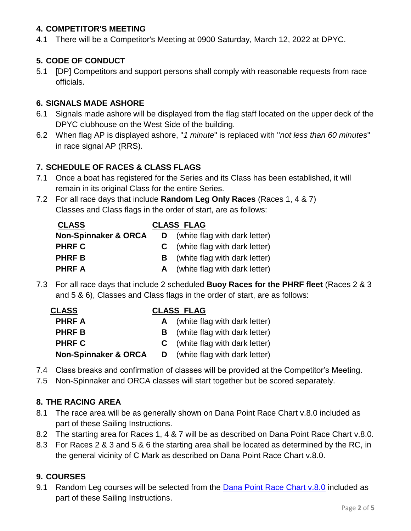#### **4. COMPETITOR'S MEETING**

4.1 There will be a Competitor's Meeting at 0900 Saturday, March 12, 2022 at DPYC.

# **5. CODE OF CONDUCT**

5.1 [DP] Competitors and support persons shall comply with reasonable requests from race officials.

#### **6. SIGNALS MADE ASHORE**

- 6.1 Signals made ashore will be displayed from the flag staff located on the upper deck of the DPYC clubhouse on the West Side of the building.
- 6.2 When flag AP is displayed ashore, "*1 minute*" is replaced with "*not less than 60 minutes*" in race signal AP (RRS).

#### **7. SCHEDULE OF RACES & CLASS FLAGS**

- 7.1 Once a boat has registered for the Series and its Class has been established, it will remain in its original Class for the entire Series.
- 7.2 For all race days that include **Random Leg Only Races** (Races 1, 4 & 7) Classes and Class flags in the order of start, are as follows:

| <b>CLASS</b>                    | <b>CLASS FLAG</b> |                                        |  |  |  |  |
|---------------------------------|-------------------|----------------------------------------|--|--|--|--|
| <b>Non-Spinnaker &amp; ORCA</b> | D                 | (white flag with dark letter)          |  |  |  |  |
| <b>PHRF C</b>                   |                   | <b>C</b> (white flag with dark letter) |  |  |  |  |
| <b>PHRFB</b>                    |                   | <b>B</b> (white flag with dark letter) |  |  |  |  |
| <b>PHRF A</b>                   |                   | A (white flag with dark letter)        |  |  |  |  |

7.3 For all race days that include 2 scheduled **Buoy Races for the PHRF fleet** (Races 2 & 3 and 5 & 6), Classes and Class flags in the order of start, are as follows:

| <b>CLASS</b>                    | <b>CLASS FLAG</b> |                                        |  |  |  |  |  |
|---------------------------------|-------------------|----------------------------------------|--|--|--|--|--|
| <b>PHRFA</b>                    |                   | A (white flag with dark letter)        |  |  |  |  |  |
| <b>PHRFB</b>                    |                   | <b>B</b> (white flag with dark letter) |  |  |  |  |  |
| <b>PHRF C</b>                   |                   | <b>C</b> (white flag with dark letter) |  |  |  |  |  |
| <b>Non-Spinnaker &amp; ORCA</b> |                   | <b>D</b> (white flag with dark letter) |  |  |  |  |  |

- 7.4 Class breaks and confirmation of classes will be provided at the Competitor's Meeting.
- 7.5 Non-Spinnaker and ORCA classes will start together but be scored separately.

#### **8. THE RACING AREA**

- 8.1 The race area will be as generally shown on Dana Point Race Chart v.8.0 included as part of these Sailing Instructions.
- 8.2 The starting area for Races 1, 4 & 7 will be as described on Dana Point Race Chart v.8.0.
- 8.3 For Races 2 & 3 and 5 & 6 the starting area shall be located as determined by the RC, in the general vicinity of C Mark as described on Dana Point Race Chart v.8.0.

# **9. COURSES**

9.1 Random Leg courses will be selected from the [Dana Point Race Chart v.8.0](https://dpyc.org/getmedia/058b4fe6-d2f1-4daf-990e-8f15db1ffb83/Race_Course_Chart_2020-09-08_1.aspx) included as part of these Sailing Instructions.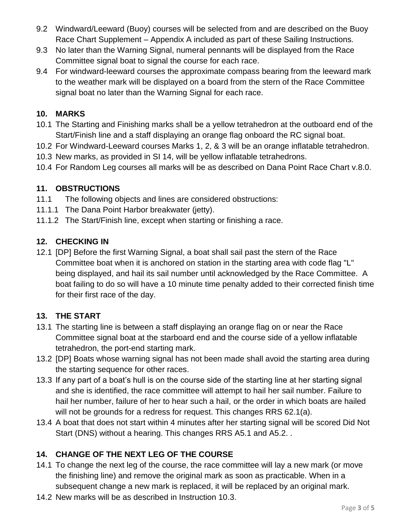- 9.2 Windward/Leeward (Buoy) courses will be selected from and are described on the Buoy Race Chart Supplement – Appendix A included as part of these Sailing Instructions.
- 9.3 No later than the Warning Signal, numeral pennants will be displayed from the Race Committee signal boat to signal the course for each race.
- 9.4 For windward-leeward courses the approximate compass bearing from the leeward mark to the weather mark will be displayed on a board from the stern of the Race Committee signal boat no later than the Warning Signal for each race.

#### **10. MARKS**

- 10.1 The Starting and Finishing marks shall be a yellow tetrahedron at the outboard end of the Start/Finish line and a staff displaying an orange flag onboard the RC signal boat.
- 10.2 For Windward-Leeward courses Marks 1, 2, & 3 will be an orange inflatable tetrahedron.
- 10.3 New marks, as provided in SI 14, will be yellow inflatable tetrahedrons.
- 10.4 For Random Leg courses all marks will be as described on Dana Point Race Chart v.8.0.

## **11. OBSTRUCTIONS**

- 11.1 The following objects and lines are considered obstructions:
- 11.1.1 The Dana Point Harbor breakwater (jetty).
- 11.1.2 The Start/Finish line, except when starting or finishing a race.

## **12. CHECKING IN**

12.1 [DP] Before the first Warning Signal, a boat shall sail past the stern of the Race Committee boat when it is anchored on station in the starting area with code flag "L" being displayed, and hail its sail number until acknowledged by the Race Committee. A boat failing to do so will have a 10 minute time penalty added to their corrected finish time for their first race of the day.

# **13. THE START**

- 13.1 The starting line is between a staff displaying an orange flag on or near the Race Committee signal boat at the starboard end and the course side of a yellow inflatable tetrahedron, the port-end starting mark.
- 13.2 [DP] Boats whose warning signal has not been made shall avoid the starting area during the starting sequence for other races.
- 13.3 If any part of a boat's hull is on the course side of the starting line at her starting signal and she is identified, the race committee will attempt to hail her sail number. Failure to hail her number, failure of her to hear such a hail, or the order in which boats are hailed will not be grounds for a redress for request. This changes RRS 62.1(a).
- 13.4 A boat that does not start within 4 minutes after her starting signal will be scored Did Not Start (DNS) without a hearing. This changes RRS A5.1 and A5.2. .

# **14. CHANGE OF THE NEXT LEG OF THE COURSE**

- 14.1 To change the next leg of the course, the race committee will lay a new mark (or move the finishing line) and remove the original mark as soon as practicable. When in a subsequent change a new mark is replaced, it will be replaced by an original mark.
- 14.2 New marks will be as described in Instruction 10.3.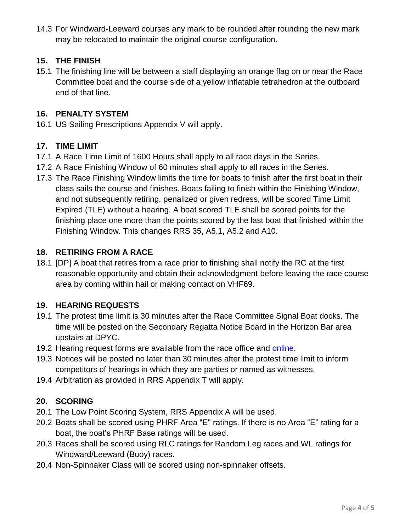14.3 For Windward-Leeward courses any mark to be rounded after rounding the new mark may be relocated to maintain the original course configuration.

## **15. THE FINISH**

15.1 The finishing line will be between a staff displaying an orange flag on or near the Race Committee boat and the course side of a yellow inflatable tetrahedron at the outboard end of that line.

#### **16. PENALTY SYSTEM**

16.1 US Sailing Prescriptions Appendix V will apply.

## **17. TIME LIMIT**

- 17.1 A Race Time Limit of 1600 Hours shall apply to all race days in the Series.
- 17.2 A Race Finishing Window of 60 minutes shall apply to all races in the Series.
- 17.3 The Race Finishing Window limits the time for boats to finish after the first boat in their class sails the course and finishes. Boats failing to finish within the Finishing Window, and not subsequently retiring, penalized or given redress, will be scored Time Limit Expired (TLE) without a hearing. A boat scored TLE shall be scored points for the finishing place one more than the points scored by the last boat that finished within the Finishing Window. This changes RRS 35, A5.1, A5.2 and A10.

## **18. RETIRING FROM A RACE**

18.1 [DP] A boat that retires from a race prior to finishing shall notify the RC at the first reasonable opportunity and obtain their acknowledgment before leaving the race course area by coming within hail or making contact on VHF69.

# **19. HEARING REQUESTS**

- 19.1 The protest time limit is 30 minutes after the Race Committee Signal Boat docks. The time will be posted on the Secondary Regatta Notice Board in the Horizon Bar area upstairs at DPYC.
- 19.2 Hearing request forms are available from the race office and [online.](https://www.regattanetwork.com/clubmgmt/regatta_uploads/23372/USSailing20172020ProtestForm.pdf)
- 19.3 Notices will be posted no later than 30 minutes after the protest time limit to inform competitors of hearings in which they are parties or named as witnesses.
- 19.4 Arbitration as provided in RRS Appendix T will apply.

# **20. SCORING**

- 20.1 The Low Point Scoring System, RRS Appendix A will be used.
- 20.2 Boats shall be scored using PHRF Area "E" ratings. If there is no Area "E" rating for a boat, the boat's PHRF Base ratings will be used.
- 20.3 Races shall be scored using RLC ratings for Random Leg races and WL ratings for Windward/Leeward (Buoy) races.
- 20.4 Non-Spinnaker Class will be scored using non-spinnaker offsets.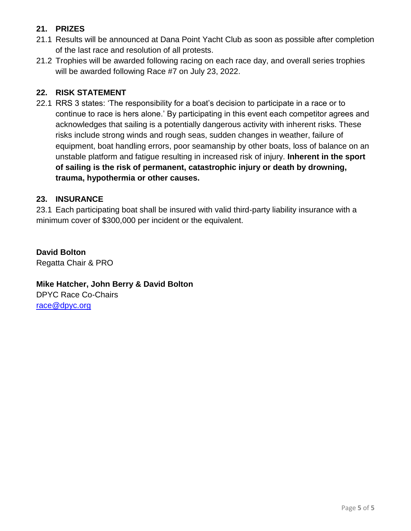# **21. PRIZES**

- 21.1 Results will be announced at Dana Point Yacht Club as soon as possible after completion of the last race and resolution of all protests.
- 21.2 Trophies will be awarded following racing on each race day, and overall series trophies will be awarded following Race #7 on July 23, 2022.

## **22. RISK STATEMENT**

22.1 RRS 3 states: 'The responsibility for a boat's decision to participate in a race or to continue to race is hers alone.' By participating in this event each competitor agrees and acknowledges that sailing is a potentially dangerous activity with inherent risks. These risks include strong winds and rough seas, sudden changes in weather, failure of equipment, boat handling errors, poor seamanship by other boats, loss of balance on an unstable platform and fatigue resulting in increased risk of injury. **Inherent in the sport of sailing is the risk of permanent, catastrophic injury or death by drowning, trauma, hypothermia or other causes.**

## **23. INSURANCE**

23.1 Each participating boat shall be insured with valid third-party liability insurance with a minimum cover of \$300,000 per incident or the equivalent.

**David Bolton** Regatta Chair & PRO

**Mike Hatcher, John Berry & David Bolton**  DPYC Race Co-Chairs [race@dpyc.org](mailto:race@dpyc.org)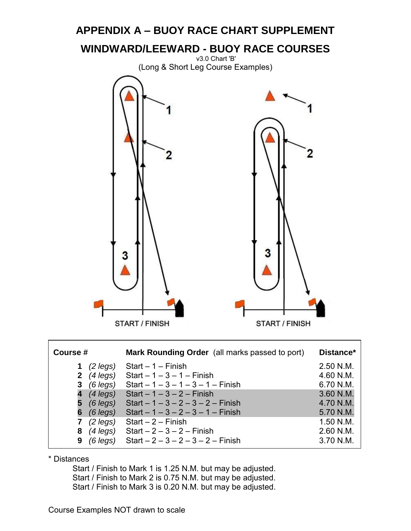

**7** *(2 legs)* Start – 2 – Finish 1.50 N.M. **8** *(4 legs)* Start – 2 – 3 – 2 – Finish 2.60 N.M.

\* Distances

 Start / Finish to Mark 1 is 1.25 N.M. but may be adjusted. Start / Finish to Mark 2 is 0.75 N.M. but may be adjusted. Start / Finish to Mark 3 is 0.20 N.M. but may be adjusted.

**9** *(6 legs)* Start – 2 – 3 – 2 – 3 – 2 – Finish 3.70 N.M.